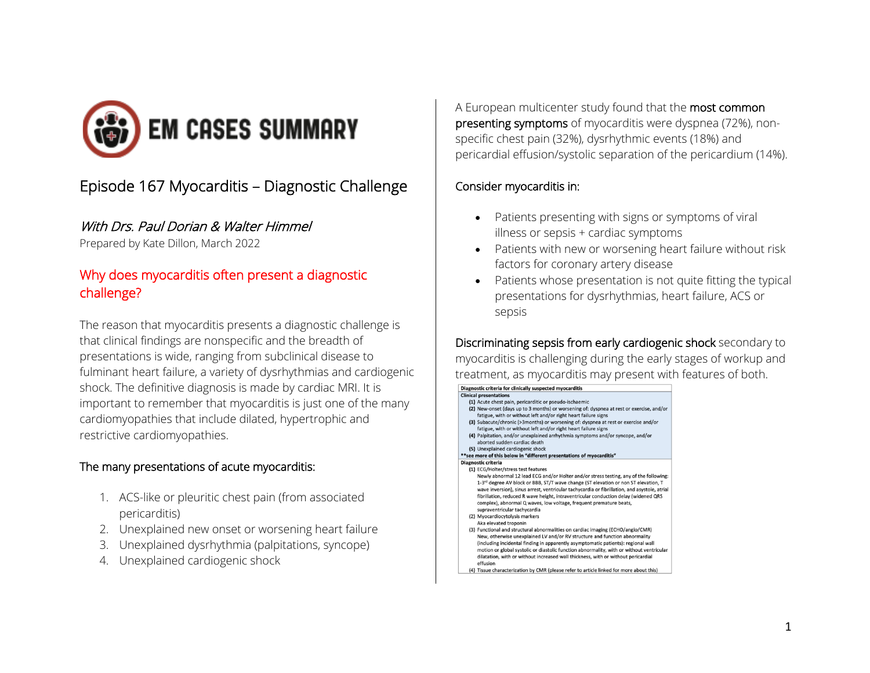

# Episode 167 Myocarditis – Diagnostic Challenge

#### With Drs. Paul Dorian & Walter Himmel

Prepared by Kate Dillon, March 2022

## Why does myocarditis often present a diagnostic challenge?

The reason that myocarditis presents a diagnostic challenge is that clinical findings are nonspecific and the breadth of presentations is wide, ranging from subclinical disease to fulminant heart failure, a variety of dysrhythmias and cardiogenic shock. The definitive diagnosis is made by cardiac MRI. It is important to remember that myocarditis is just one of the many cardiomyopathies that include dilated, hypertrophic and restrictive cardiomyopathies.

#### The many presentations of acute myocarditis:

- 1. ACS-like or pleuritic chest pain (from associated pericarditis)
- 2. Unexplained new onset or worsening heart failure
- 3. Unexplained dysrhythmia (palpitations, syncope)
- 4. Unexplained cardiogenic shock

A European multicenter study found that the most common presenting symptoms of myocarditis were dyspnea (72%), nonspecific chest pain (32%), dysrhythmic events (18%) and pericardial effusion/systolic separation of the pericardium (14%).

#### Consider myocarditis in:

- Patients presenting with signs or symptoms of viral illness or sepsis + cardiac symptoms
- Patients with new or worsening heart failure without risk factors for coronary artery disease
- Patients whose presentation is not quite fitting the typical presentations for dysrhythmias, heart failure, ACS or sepsis

Discriminating sepsis from early cardiogenic shock secondary to myocarditis is challenging during the early stages of workup and treatment, as myocarditis may present with features of both.

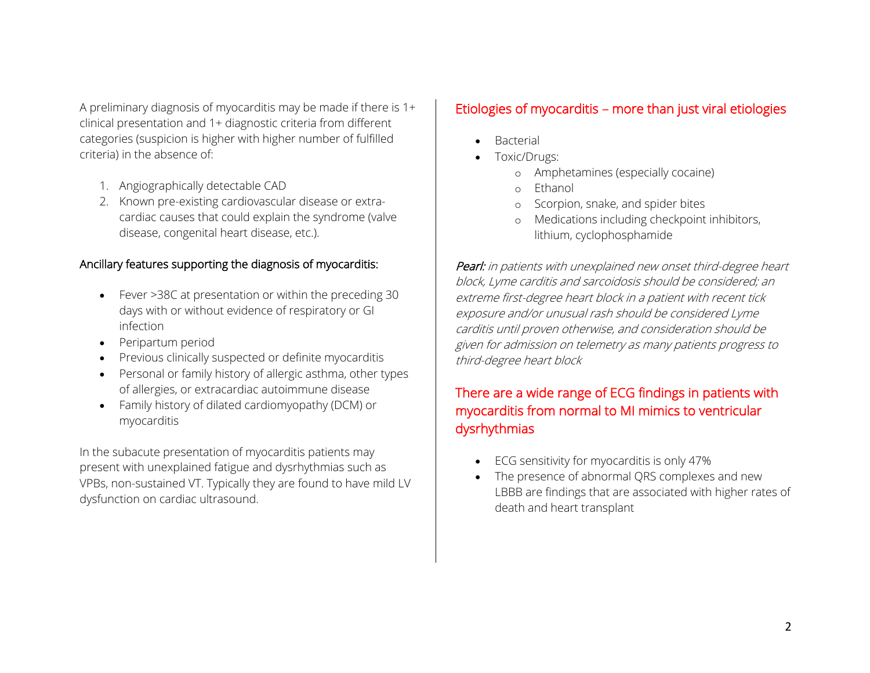A preliminary diagnosis of myocarditis may be made if there is 1+ clinical presentation and 1+ diagnostic criteria from different categories (suspicion is higher with higher number of fulfilled criteria) in the absence of:

- 1. Angiographically detectable CAD
- 2. Known pre-existing cardiovascular disease or extracardiac causes that could explain the syndrome (valve disease, congenital heart disease, etc.).

### Ancillary features supporting the diagnosis of myocarditis:

- Fever >38C at presentation or within the preceding 30 days with or without evidence of respiratory or GI infection
- Peripartum period
- Previous clinically suspected or definite myocarditis
- Personal or family history of allergic asthma, other types of allergies, or extracardiac autoimmune disease
- Family history of dilated cardiomyopathy (DCM) or myocarditis

In the subacute presentation of myocarditis patients may present with unexplained fatigue and dysrhythmias such as VPBs, non-sustained VT. Typically they are found to have mild LV dysfunction on cardiac ultrasound.

### Etiologies of myocarditis – more than just viral etiologies

- **Bacterial**
- Toxic/Drugs:
	- o Amphetamines (especially cocaine)
	- o Ethanol
	- o Scorpion, snake, and spider bites
	- Medications including checkpoint inhibitors, lithium, cyclophosphamide

Pearl: in patients with unexplained new onset third-degree heart block, Lyme carditis and sarcoidosis should be considered; an extreme first-degree heart block in a patient with recent tick exposure and/or unusual rash should be considered Lyme carditis until proven otherwise, and consideration should be given for admission on telemetry as many patients progress to third-degree heart block

## There are a wide range of ECG findings in patients with myocarditis from normal to MI mimics to ventricular dysrhythmias

- ECG sensitivity for myocarditis is only 47%
- The presence of abnormal QRS complexes and new LBBB are findings that are associated with higher rates of death and heart transplant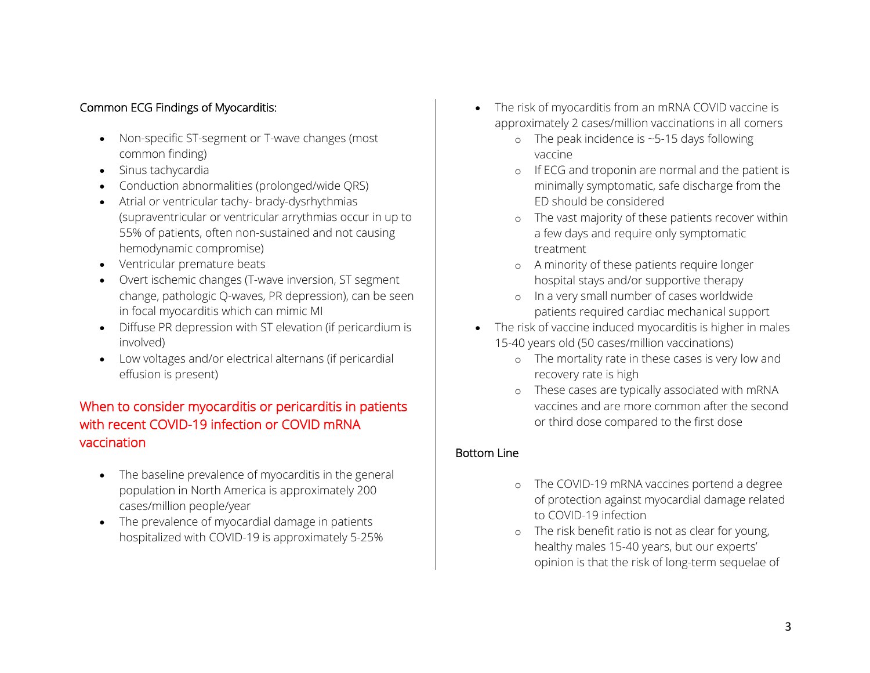### Common ECG Findings of Myocarditis:

- Non-specific ST-segment or T-wave changes (most common finding)
- Sinus tachycardia
- Conduction abnormalities (prolonged/wide QRS)
- Atrial or ventricular tachy- brady-dysrhythmias (supraventricular or ventricular arrythmias occur in up to 55% of patients, often non-sustained and not causing hemodynamic compromise)
- Ventricular premature beats
- Overt ischemic changes (T-wave inversion, ST segment change, pathologic Q-waves, PR depression), can be seen in focal myocarditis which can mimic MI
- Diffuse PR depression with ST elevation (if pericardium is involved)
- Low voltages and/or electrical alternans (if pericardial effusion is present)

### When to consider myocarditis or pericarditis in patients with recent COVID-19 infection or COVID mRNA vaccination

- The baseline prevalence of myocarditis in the general population in North America is approximately 200 cases/million people/year
- The prevalence of myocardial damage in patients hospitalized with COVID-19 is approximately 5-25%
- The risk of myocarditis from an mRNA COVID vaccine is approximately 2 cases/million vaccinations in all comers
	- o The peak incidence is ~5-15 days following vaccine
	- o If ECG and troponin are normal and the patient is minimally symptomatic, safe discharge from the ED should be considered
	- o The vast majority of these patients recover within a few days and require only symptomatic treatment
	- o A minority of these patients require longer hospital stays and/or supportive therapy
	- o In a very small number of cases worldwide patients required cardiac mechanical support
- The risk of vaccine induced myocarditis is higher in males 15-40 years old (50 cases/million vaccinations)
	- o The mortality rate in these cases is very low and recovery rate is high
	- o These cases are typically associated with mRNA vaccines and are more common after the second or third dose compared to the first dose

#### Bottom Line

- o The COVID-19 mRNA vaccines portend a degree of protection against myocardial damage related to COVID-19 infection
- o The risk benefit ratio is not as clear for young, healthy males 15-40 years, but our experts' opinion is that the risk of long-term sequelae of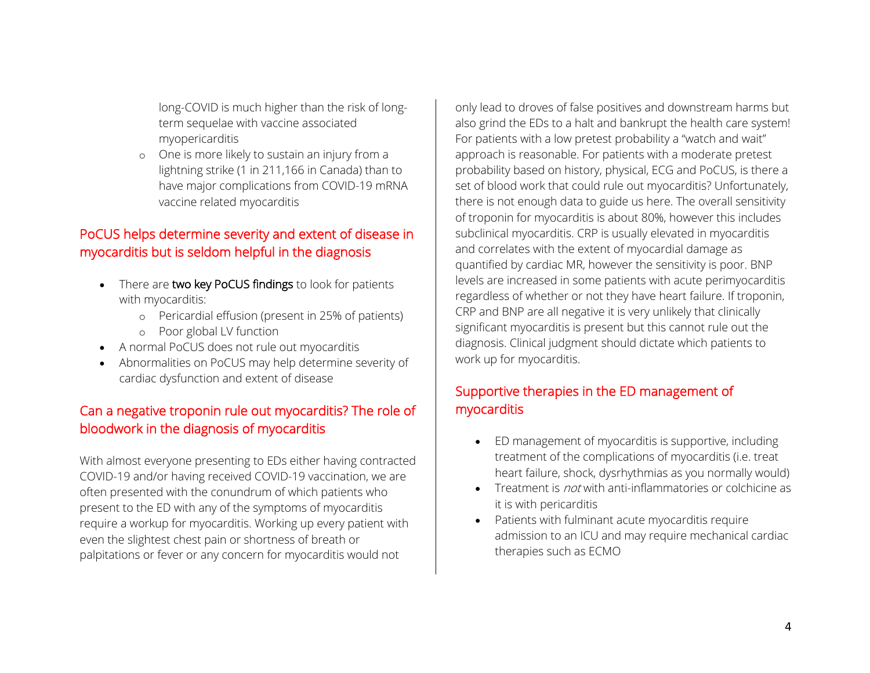long-COVID is much higher than the risk of longterm sequelae with vaccine associated myopericarditis

o One is more likely to sustain an injury from a lightning strike (1 in 211,166 in Canada) than to have major complications from COVID-19 mRNA vaccine related myocarditis

## PoCUS helps determine severity and extent of disease in myocarditis but is seldom helpful in the diagnosis

- There are two key PoCUS findings to look for patients with myocarditis:
	- o Pericardial effusion (present in 25% of patients)
	- o Poor global LV function
- A normal PoCUS does not rule out myocarditis
- Abnormalities on PoCUS may help determine severity of cardiac dysfunction and extent of disease

## Can a negative troponin rule out myocarditis? The role of bloodwork in the diagnosis of myocarditis

With almost everyone presenting to EDs either having contracted COVID-19 and/or having received COVID-19 vaccination, we are often presented with the conundrum of which patients who present to the ED with any of the symptoms of myocarditis require a workup for myocarditis. Working up every patient with even the slightest chest pain or shortness of breath or palpitations or fever or any concern for myocarditis would not

only lead to droves of false positives and downstream harms but also grind the EDs to a halt and bankrupt the health care system! For patients with a low pretest probability a "watch and wait" approach is reasonable. For patients with a moderate pretest probability based on history, physical, ECG and PoCUS, is there a set of blood work that could rule out myocarditis? Unfortunately, there is not enough data to guide us here. The overall sensitivity of troponin for myocarditis is about 80%, however this includes subclinical myocarditis. CRP is usually elevated in myocarditis and correlates with the extent of myocardial damage as quantified by cardiac MR, however the sensitivity is poor. BNP levels are increased in some patients with acute perimyocarditis regardless of whether or not they have heart failure. If troponin, CRP and BNP are all negative it is very unlikely that clinically significant myocarditis is present but this cannot rule out the diagnosis. Clinical judgment should dictate which patients to work up for myocarditis.

## Supportive therapies in the ED management of myocarditis

- ED management of myocarditis is supportive, including treatment of the complications of myocarditis (i.e. treat heart failure, shock, dysrhythmias as you normally would)
- Treatment is *not* with anti-inflammatories or colchicine as it is with pericarditis
- Patients with fulminant acute myocarditis require admission to an ICU and may require mechanical cardiac therapies such as ECMO